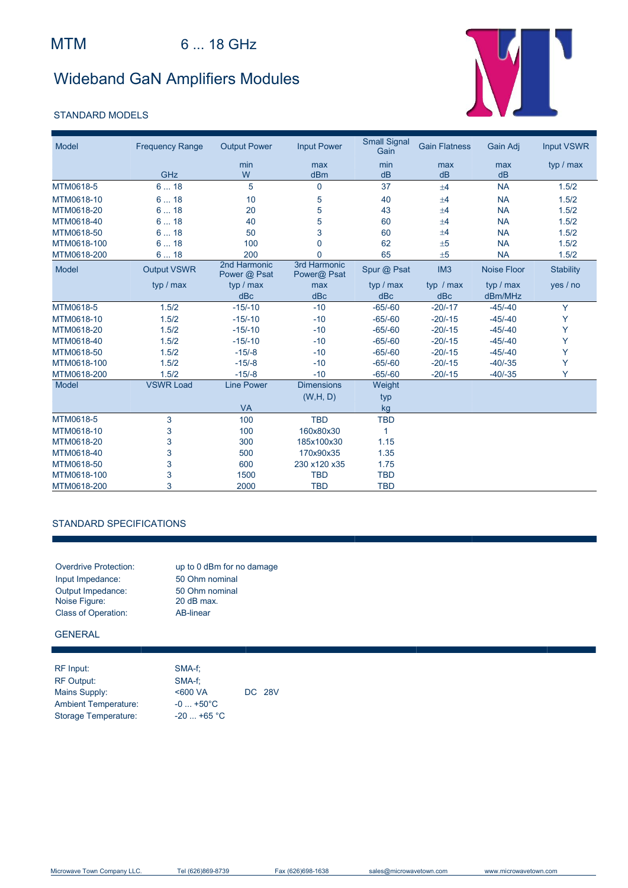# Wideband GaN Amplifiers Modules

### STANDARD MODELS



| Model       | <b>Frequency Range</b> | <b>Output Power</b>          | <b>Input Power</b>          | <b>Small Signal</b><br>Gain | <b>Gain Flatness</b> | Gain Adj           | <b>Input VSWR</b> |
|-------------|------------------------|------------------------------|-----------------------------|-----------------------------|----------------------|--------------------|-------------------|
|             | GHz                    | min<br>W                     | max<br>dBm                  | min<br>dB                   | max<br>dB            | max<br>dB          | typ / max         |
| MTM0618-5   | 618                    | 5                            | $\mathbf 0$                 | 37                          | ±4                   | <b>NA</b>          | 1.5/2             |
|             |                        |                              |                             |                             |                      |                    |                   |
| MTM0618-10  | 618                    | 10                           | 5                           | 40                          | ±4                   | <b>NA</b>          | 1.5/2             |
| MTM0618-20  | 618                    | 20                           | 5                           | 43                          | ±4                   | <b>NA</b>          | 1.5/2             |
| MTM0618-40  | 618                    | 40                           | 5                           | 60                          | ±4                   | <b>NA</b>          | 1.5/2             |
| MTM0618-50  | 618                    | 50                           | 3                           | 60                          | ±4                   | <b>NA</b>          | 1.5/2             |
| MTM0618-100 | 618                    | 100                          | $\overline{0}$              | 62                          | ±5                   | <b>NA</b>          | 1.5/2             |
| MTM0618-200 | 618                    | 200                          | $\Omega$                    | 65                          | ±5                   | <b>NA</b>          | 1.5/2             |
| Model       | <b>Output VSWR</b>     | 2nd Harmonic<br>Power @ Psat | 3rd Harmonic<br>Power@ Psat | Spur @ Psat                 | IM <sub>3</sub>      | <b>Noise Floor</b> | <b>Stability</b>  |
|             | typ / max              | typ / max                    | max                         | typ / max                   | typ / max            | typ / max          | yes / no          |
|             |                        | dBc                          | dBc                         | dBc                         | dBc                  | dBm/MHz            |                   |
| MTM0618-5   | 1.5/2                  | $-15/-10$                    | $-10$                       | $-65/-60$                   | $-20/-17$            | $-45/-40$          | Y                 |
| MTM0618-10  | 1.5/2                  | $-15/-10$                    | $-10$                       | $-65/-60$                   | $-20/-15$            | $-45/-40$          | Y                 |
| MTM0618-20  | 1.5/2                  | $-15/-10$                    | $-10$                       | $-65/-60$                   | $-20/-15$            | $-45/-40$          | Y                 |
| MTM0618-40  | 1.5/2                  | $-15/-10$                    | $-10$                       | $-65/-60$                   | $-20/-15$            | $-45/-40$          | Y                 |
| MTM0618-50  | 1.5/2                  | $-15/-8$                     | $-10$                       | $-65/-60$                   | $-20/-15$            | $-45/ -40$         | Y                 |
| MTM0618-100 | 1.5/2                  | $-15/-8$                     | $-10$                       | $-65/-60$                   | $-20/-15$            | $-40/-35$          | Y                 |
| MTM0618-200 | 1.5/2                  | $-15/-8$                     | $-10$                       | $-65/-60$                   | $-20/-15$            | $-40/-35$          | Y                 |
| Model       | <b>VSWR Load</b>       | <b>Line Power</b>            | <b>Dimensions</b>           | Weight                      |                      |                    |                   |
|             |                        |                              | (W,H, D)                    | typ                         |                      |                    |                   |
|             |                        | <b>VA</b>                    |                             | kg                          |                      |                    |                   |
| MTM0618-5   | 3                      | 100                          | <b>TBD</b>                  | <b>TBD</b>                  |                      |                    |                   |
| MTM0618-10  | 3                      | 100                          | 160x80x30                   | 1                           |                      |                    |                   |
| MTM0618-20  | 3                      | 300                          | 185x100x30                  | 1.15                        |                      |                    |                   |
| MTM0618-40  | 3                      | 500                          | 170x90x35                   | 1.35                        |                      |                    |                   |
| MTM0618-50  | 3                      | 600                          | 230 x120 x35                | 1.75                        |                      |                    |                   |
| MTM0618-100 | 3                      | 1500                         | <b>TBD</b>                  | <b>TBD</b>                  |                      |                    |                   |
| MTM0618-200 | 3                      | 2000                         | <b>TBD</b>                  | <b>TBD</b>                  |                      |                    |                   |

#### STANDARD SPECIFICATIONS

| <b>Overdrive Protection:</b> | up to 0 dBm for no damage |
|------------------------------|---------------------------|
| Input Impedance:             | 50 Ohm nominal            |
| Output Impedance:            | 50 Ohm nominal            |
| Noise Figure:                | 20 dB max.                |
| <b>Class of Operation:</b>   | AB-linear                 |

GENERAL

| RF Input:                   | SMA-f:           |               |
|-----------------------------|------------------|---------------|
| <b>RF Output:</b>           | SMA-f:           |               |
| Mains Supply:               | $<$ 600 VA       | <b>DC 28V</b> |
| <b>Ambient Temperature:</b> | $-0+50^{\circ}C$ |               |
| Storage Temperature:        | $-20$ +65 °C     |               |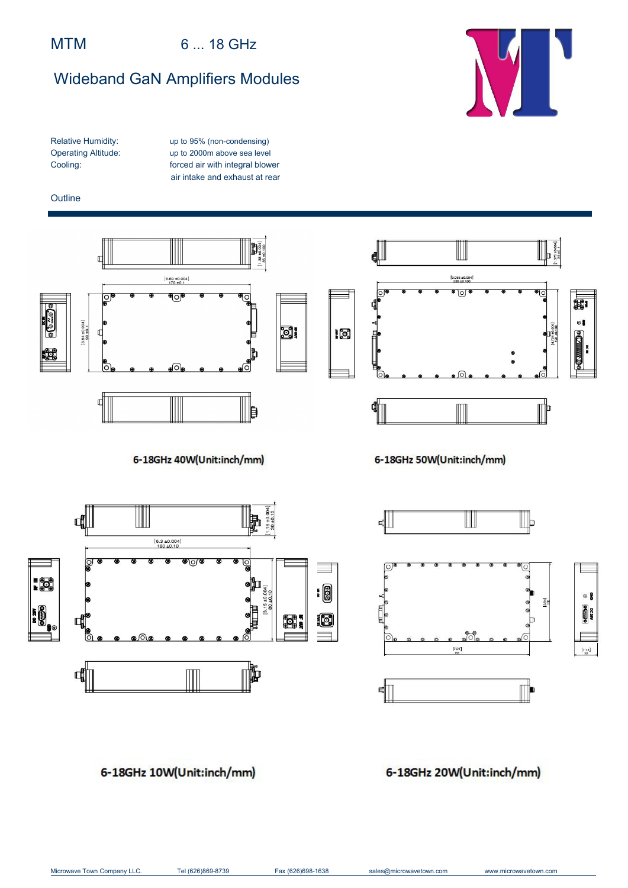## MTM 6 ... 18 GHz

# Wideband GaN Amplifiers Modules



Relative Humidity: up to 95% (non-condensing) Operating Altitude: up to 2000m above sea level Cooling: forced air with integral blower air intake and exhaust at rear

#### **Outline**



6-18GHz 50W(Unit:inch/mm)

ศุ∭

ſo,

 $\begin{array}{c}\n\mathbf{H} & \mathbf{H} \\
\mathbf{0} & \mathbf{0}\n\end{array}$ 

ाि

ष∏



6-18GHz 40W(Unit:inch/mm)

## 6-18GHz 20W(Unit:inch/mm)

 $[7, 28]$ 

Ш

IIЬ

3.94

n

 $<sup>•</sup>$ </sup>

 $\begin{matrix}\n\frac{1}{2} \\
\frac{1}{2} \\
\frac{1}{2} \\
\frac{1}{2}\n\end{matrix}$ 

 $1.18$ ]

## 6-18GHz 10W(Unit:inch/mm)